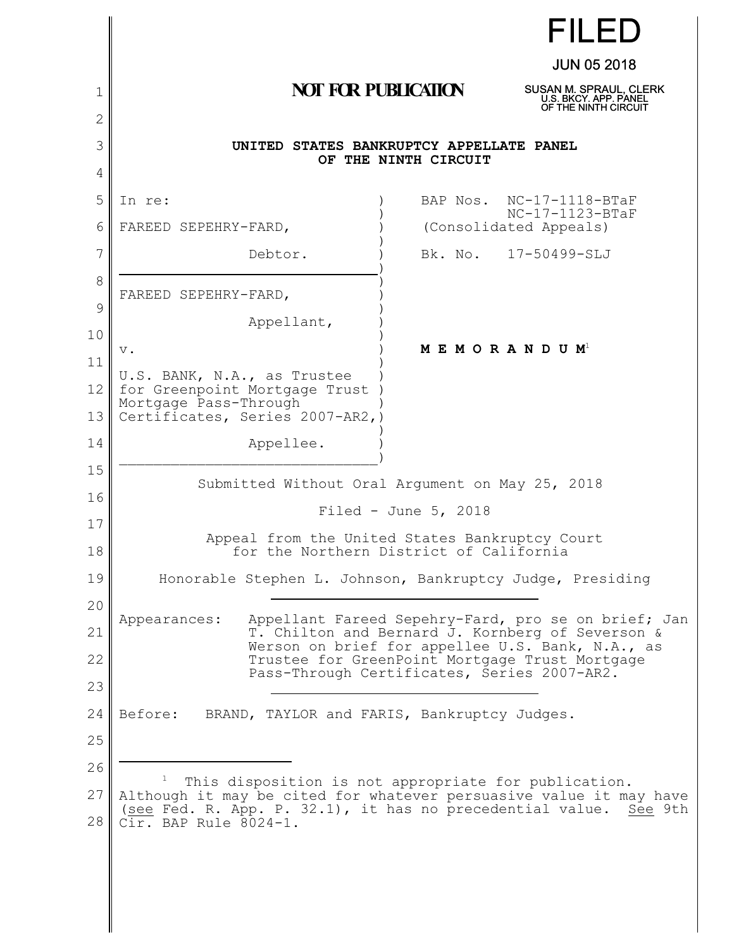|          | <b>FILED</b>                                                                                                                               |  |
|----------|--------------------------------------------------------------------------------------------------------------------------------------------|--|
|          | <b>JUN 05 2018</b>                                                                                                                         |  |
| 1        | <b>NOT FOR PUBLICATION</b><br>SUSAN M. SPRAUL, CLERK<br>U.S. BKCY. APP. PANEL<br>OF THE NINTH CIRCUIT                                      |  |
| 2        |                                                                                                                                            |  |
| 3        | UNITED STATES BANKRUPTCY APPELLATE PANEL<br>OF THE NINTH CIRCUIT                                                                           |  |
| 4        |                                                                                                                                            |  |
| 5        | BAP Nos. NC-17-1118-BTaF<br>In re:<br>$NC-17-1123-BTaF$                                                                                    |  |
| 6        | FAREED SEPEHRY-FARD,<br>(Consolidated Appeals)                                                                                             |  |
| 7        | Debtor.<br>Bk. No. 17-50499-SLJ                                                                                                            |  |
| 8        | FAREED SEPEHRY-FARD,                                                                                                                       |  |
| 9        | Appellant,                                                                                                                                 |  |
| 10       | M E M O R A N D U M <sup>1</sup><br>$\mathbf v$ .                                                                                          |  |
| 11       | U.S. BANK, N.A., as Trustee                                                                                                                |  |
| 12       | for Greenpoint Mortgage Trust<br>Mortgage Pass-Through                                                                                     |  |
| 13       | Certificates, Series 2007-AR2,)                                                                                                            |  |
| 14       | Appellee.                                                                                                                                  |  |
| 15       | Submitted Without Oral Argument on May 25, 2018                                                                                            |  |
| 16       | Filed - June $5, 2018$                                                                                                                     |  |
| 17<br>18 | Appeal from the United States Bankruptcy Court<br>for the Northern District of California                                                  |  |
|          |                                                                                                                                            |  |
| 19       | Honorable Stephen L. Johnson, Bankruptcy Judge, Presiding                                                                                  |  |
| 20       | Appellant Fareed Sepehry-Fard, pro se on brief; Jan<br>Appearances:                                                                        |  |
| 21       | T. Chilton and Bernard J. Kornberg of Severson &<br>Werson on brief for appellee U.S. Bank, N.A., as                                       |  |
| 22       | Trustee for GreenPoint Mortgage Trust Mortgage<br>Pass-Through Certificates, Series 2007-AR2.                                              |  |
| 23       |                                                                                                                                            |  |
| 24       | Before:<br>BRAND, TAYLOR and FARIS, Bankruptcy Judges.                                                                                     |  |
| 25       |                                                                                                                                            |  |
| 26       | This disposition is not appropriate for publication.                                                                                       |  |
| 27       | Although it may be cited for whatever persuasive value it may have<br>(see Fed. R. App. P. 32.1), it has no precedential value.<br>See 9th |  |
| 28       | Cir. BAP Rule 8024-1.                                                                                                                      |  |
|          |                                                                                                                                            |  |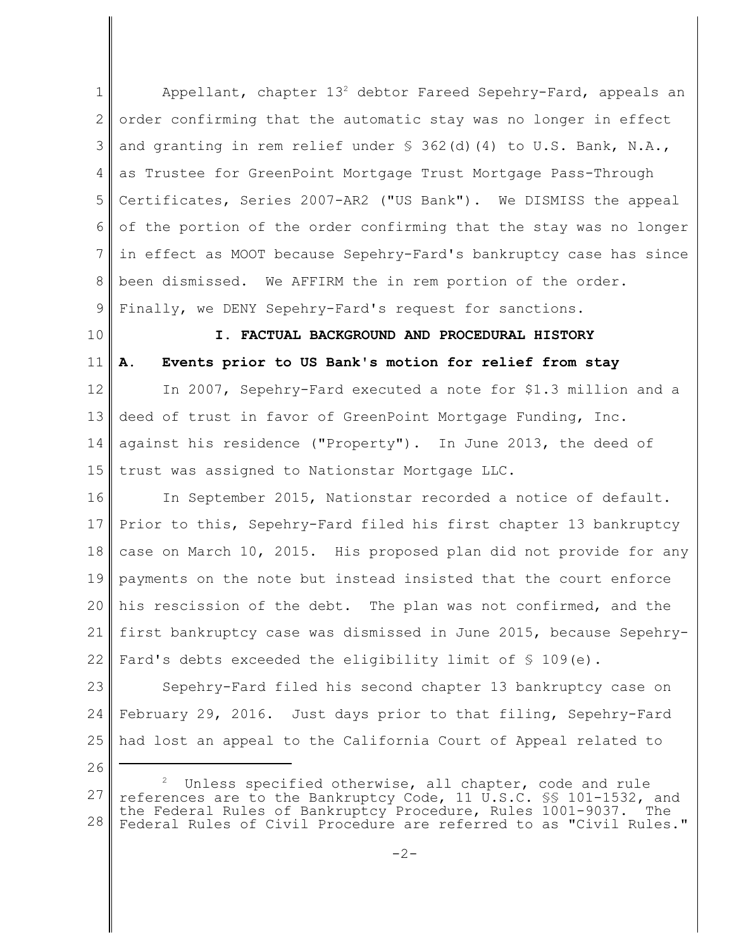1 2 3 4 5 6 7 8 9 Appellant, chapter  $13<sup>2</sup>$  debtor Fareed Sepehry-Fard, appeals an order confirming that the automatic stay was no longer in effect and granting in rem relief under  $\frac{1}{2}$  362(d)(4) to U.S. Bank, N.A., as Trustee for GreenPoint Mortgage Trust Mortgage Pass-Through Certificates, Series 2007-AR2 ("US Bank"). We DISMISS the appeal of the portion of the order confirming that the stay was no longer in effect as MOOT because Sepehry-Fard's bankruptcy case has since been dismissed. We AFFIRM the in rem portion of the order. Finally, we DENY Sepehry-Fard's request for sanctions.

10

11

# **I. FACTUAL BACKGROUND AND PROCEDURAL HISTORY A. Events prior to US Bank's motion for relief from stay**

12 13 14 15 In 2007, Sepehry-Fard executed a note for \$1.3 million and a deed of trust in favor of GreenPoint Mortgage Funding, Inc. against his residence ("Property"). In June 2013, the deed of trust was assigned to Nationstar Mortgage LLC.

16 17 18 19 20 21 22 In September 2015, Nationstar recorded a notice of default. Prior to this, Sepehry-Fard filed his first chapter 13 bankruptcy case on March 10, 2015. His proposed plan did not provide for any payments on the note but instead insisted that the court enforce his rescission of the debt. The plan was not confirmed, and the first bankruptcy case was dismissed in June 2015, because Sepehry-Fard's debts exceeded the eligibility limit of  $\S$  109(e).

23 24 25 Sepehry-Fard filed his second chapter 13 bankruptcy case on February 29, 2016. Just days prior to that filing, Sepehry-Fard had lost an appeal to the California Court of Appeal related to

26

<sup>27</sup> 28  $^2$  Unless specified otherwise, all chapter, code and rule references are to the Bankruptcy Code, 11 U.S.C. §§ 101-1532, and the Federal Rules of Bankruptcy Procedure, Rules 1001-9037. The Federal Rules of Civil Procedure are referred to as "Civil Rules."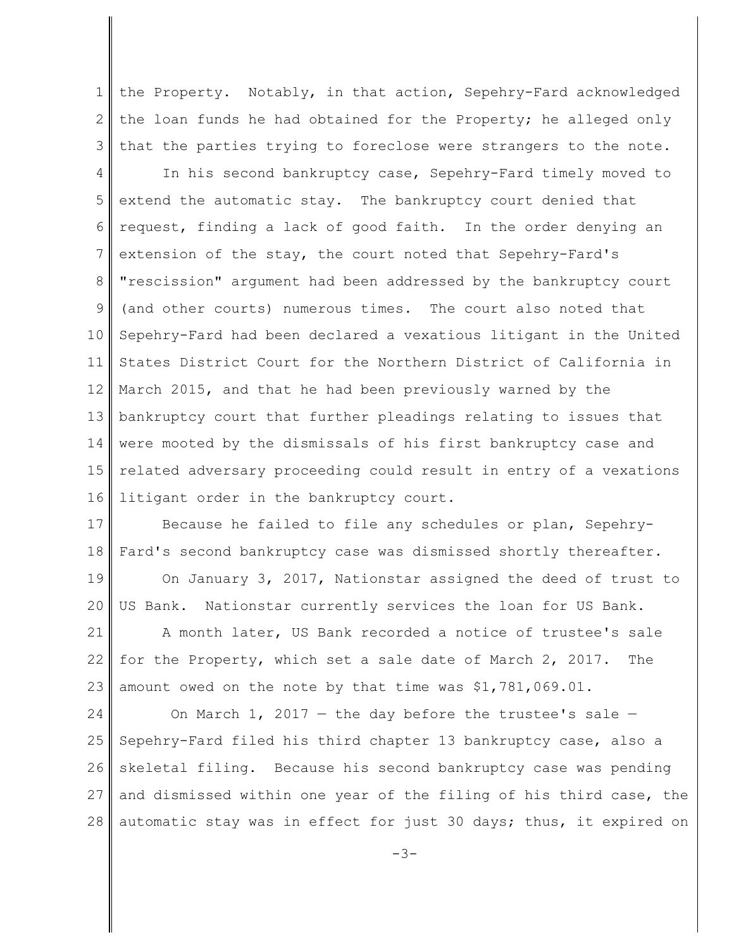1 2 3 the Property. Notably, in that action, Sepehry-Fard acknowledged the loan funds he had obtained for the Property; he alleged only that the parties trying to foreclose were strangers to the note.

4 5 6 7 8 9 10 11 12 13 14 15 16 In his second bankruptcy case, Sepehry-Fard timely moved to extend the automatic stay. The bankruptcy court denied that request, finding a lack of good faith. In the order denying an extension of the stay, the court noted that Sepehry-Fard's "rescission" argument had been addressed by the bankruptcy court (and other courts) numerous times. The court also noted that Sepehry-Fard had been declared a vexatious litigant in the United States District Court for the Northern District of California in March 2015, and that he had been previously warned by the bankruptcy court that further pleadings relating to issues that were mooted by the dismissals of his first bankruptcy case and related adversary proceeding could result in entry of a vexations litigant order in the bankruptcy court.

17 18 Because he failed to file any schedules or plan, Sepehry-Fard's second bankruptcy case was dismissed shortly thereafter.

19 20 On January 3, 2017, Nationstar assigned the deed of trust to US Bank. Nationstar currently services the loan for US Bank.

21 22 23 A month later, US Bank recorded a notice of trustee's sale for the Property, which set a sale date of March 2, 2017. The amount owed on the note by that time was \$1,781,069.01.

24 25 26 27 28 On March  $1$ , 2017 – the day before the trustee's sale – Sepehry-Fard filed his third chapter 13 bankruptcy case, also a skeletal filing. Because his second bankruptcy case was pending and dismissed within one year of the filing of his third case, the automatic stay was in effect for just 30 days; thus, it expired on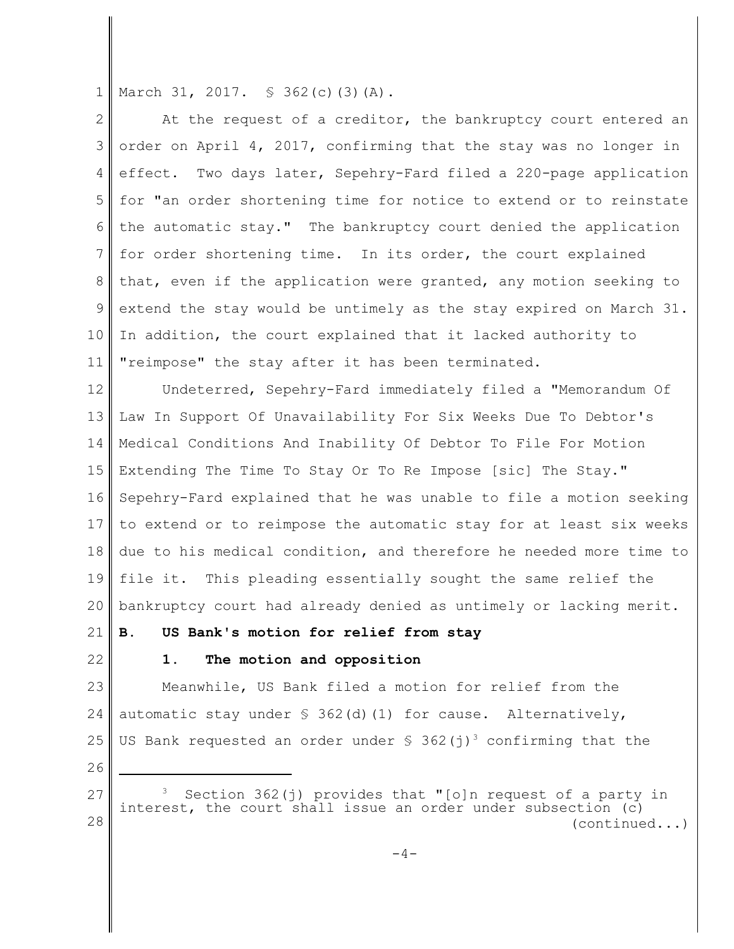1 March 31, 2017. § 362(c)(3)(A).

2 3 4 5 6 7 8 9 10 11 At the request of a creditor, the bankruptcy court entered an order on April 4, 2017, confirming that the stay was no longer in effect. Two days later, Sepehry-Fard filed a 220-page application for "an order shortening time for notice to extend or to reinstate the automatic stay." The bankruptcy court denied the application for order shortening time. In its order, the court explained that, even if the application were granted, any motion seeking to extend the stay would be untimely as the stay expired on March 31. In addition, the court explained that it lacked authority to "reimpose" the stay after it has been terminated.

12 13 14 15 16 17 18 19 20 Undeterred, Sepehry-Fard immediately filed a "Memorandum Of Law In Support Of Unavailability For Six Weeks Due To Debtor's Medical Conditions And Inability Of Debtor To File For Motion Extending The Time To Stay Or To Re Impose [sic] The Stay." Sepehry-Fard explained that he was unable to file a motion seeking to extend or to reimpose the automatic stay for at least six weeks due to his medical condition, and therefore he needed more time to file it. This pleading essentially sought the same relief the bankruptcy court had already denied as untimely or lacking merit.

21 22

# **B. US Bank's motion for relief from stay**

# **1. The motion and opposition**

23 24 25 Meanwhile, US Bank filed a motion for relief from the automatic stay under  $\frac{1}{5}$  362(d)(1) for cause. Alternatively, US Bank requested an order under  $\frac{1}{5}$  362(j)<sup>3</sup> confirming that the

26

<sup>27</sup> 28 Section 362(j) provides that "[o]n request of a party in interest, the court shall issue an order under subsection (c) (continued...)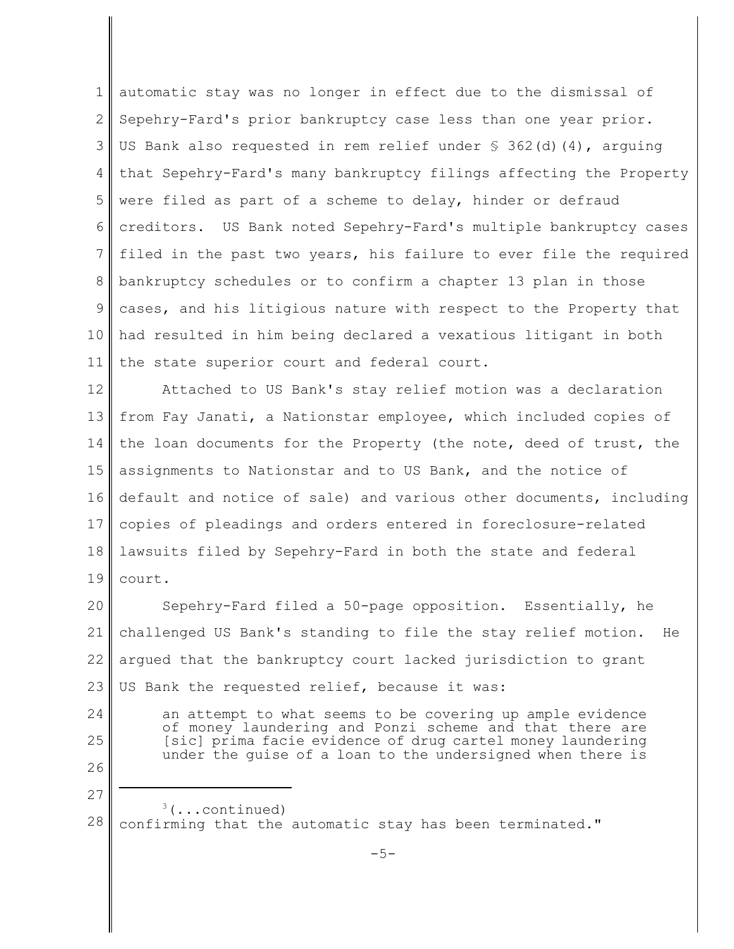1 2 3 4 5 6 7 8 9 10 11 automatic stay was no longer in effect due to the dismissal of Sepehry-Fard's prior bankruptcy case less than one year prior. US Bank also requested in rem relief under  $\S$  362(d)(4), arguing that Sepehry-Fard's many bankruptcy filings affecting the Property were filed as part of a scheme to delay, hinder or defraud creditors. US Bank noted Sepehry-Fard's multiple bankruptcy cases filed in the past two years, his failure to ever file the required bankruptcy schedules or to confirm a chapter 13 plan in those cases, and his litigious nature with respect to the Property that had resulted in him being declared a vexatious litigant in both the state superior court and federal court.

12 13 14 15 16 17 18 19 Attached to US Bank's stay relief motion was a declaration from Fay Janati, a Nationstar employee, which included copies of the loan documents for the Property (the note, deed of trust, the assignments to Nationstar and to US Bank, and the notice of default and notice of sale) and various other documents, including copies of pleadings and orders entered in foreclosure-related lawsuits filed by Sepehry-Fard in both the state and federal court.

20 21 22 23 Sepehry-Fard filed a 50-page opposition. Essentially, he challenged US Bank's standing to file the stay relief motion. He argued that the bankruptcy court lacked jurisdiction to grant US Bank the requested relief, because it was:

- 24 25
- 26

an attempt to what seems to be covering up ample evidence of money laundering and Ponzi scheme and that there are [sic] prima facie evidence of drug cartel money laundering under the guise of a loan to the undersigned when there is

27 28  $3$ (...continued) confirming that the automatic stay has been terminated."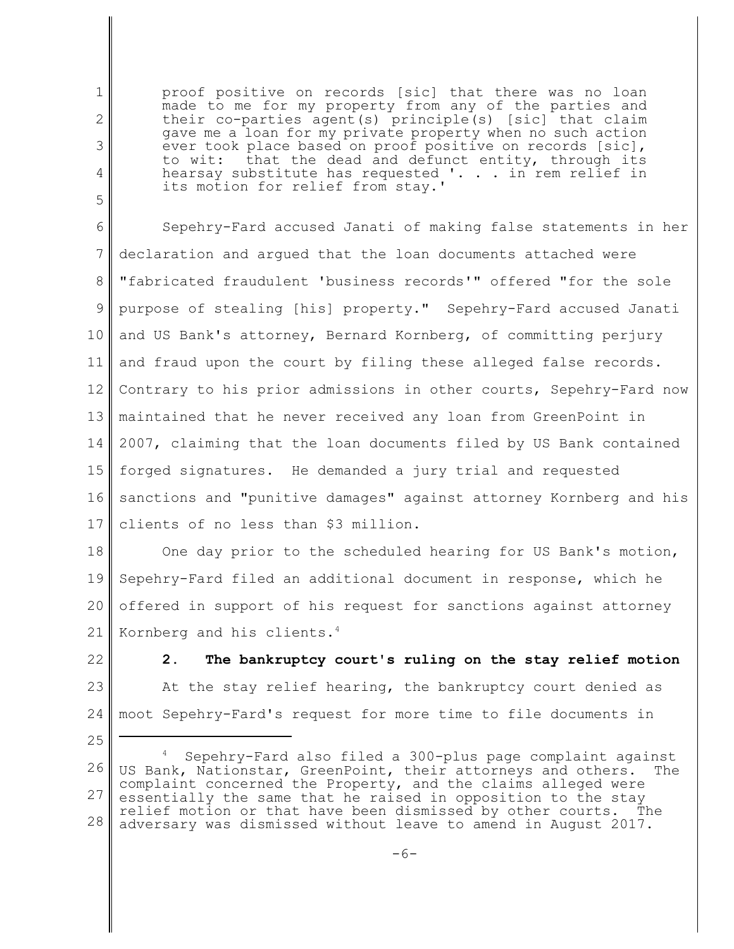proof positive on records [sic] that there was no loan made to me for my property from any of the parties and their co-parties agent(s) principle(s) [sic] that claim gave me a loan for my private property when no such action ever took place based on proof positive on records [sic], to wit: that the dead and defunct entity, through its hearsay substitute has requested '. . . in rem relief in its motion for relief from stay.'

6 7 8 9 10 11 12 13 14 15 16 17 Sepehry-Fard accused Janati of making false statements in her declaration and argued that the loan documents attached were "fabricated fraudulent 'business records'" offered "for the sole purpose of stealing [his] property." Sepehry-Fard accused Janati and US Bank's attorney, Bernard Kornberg, of committing perjury and fraud upon the court by filing these alleged false records. Contrary to his prior admissions in other courts, Sepehry-Fard now maintained that he never received any loan from GreenPoint in 2007, claiming that the loan documents filed by US Bank contained forged signatures. He demanded a jury trial and requested sanctions and "punitive damages" against attorney Kornberg and his clients of no less than \$3 million.

18 19 20 21 One day prior to the scheduled hearing for US Bank's motion, Sepehry-Fard filed an additional document in response, which he offered in support of his request for sanctions against attorney Kornberg and his clients.<sup>4</sup>

22 23 24 **2. The bankruptcy court's ruling on the stay relief motion** At the stay relief hearing, the bankruptcy court denied as moot Sepehry-Fard's request for more time to file documents in

1

2

3

4

5

<sup>25</sup>

<sup>26</sup> 27 28 Sepehry-Fard also filed a 300-plus page complaint against US Bank, Nationstar, GreenPoint, their attorneys and others. The complaint concerned the Property, and the claims alleged were essentially the same that he raised in opposition to the stay relief motion or that have been dismissed by other courts. The adversary was dismissed without leave to amend in August 2017.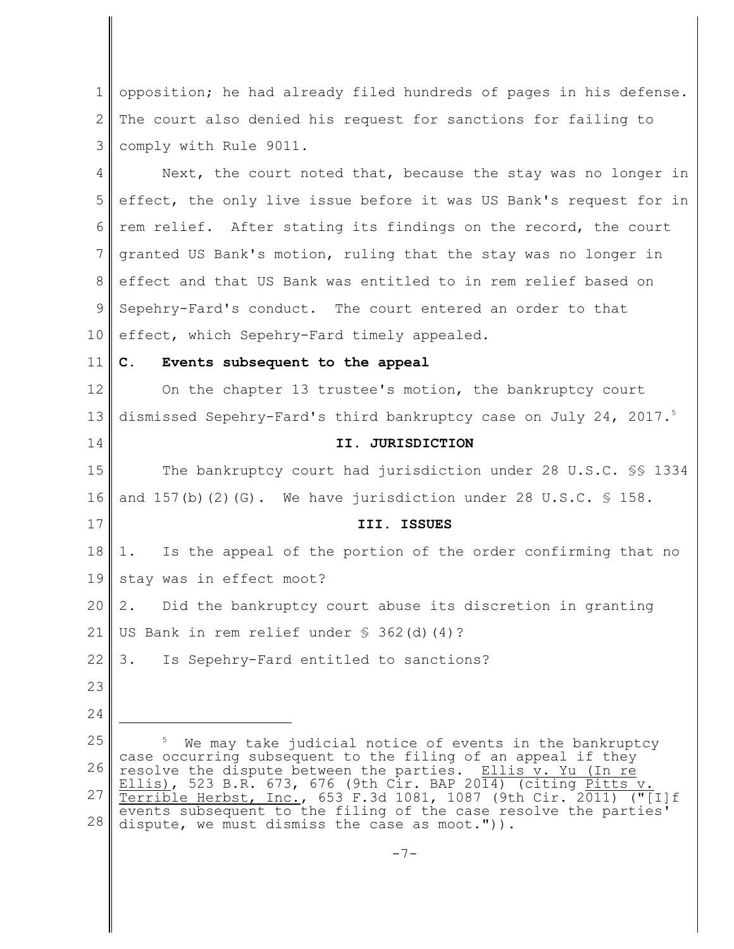1 2 3 opposition; he had already filed hundreds of pages in his defense. The court also denied his request for sanctions for failing to comply with Rule 9011.

4 5 6 7 8 9 10 Next, the court noted that, because the stay was no longer in effect, the only live issue before it was US Bank's request for in rem relief. After stating its findings on the record, the court granted US Bank's motion, ruling that the stay was no longer in effect and that US Bank was entitled to in rem relief based on Sepehry-Fard's conduct. The court entered an order to that effect, which Sepehry-Fard timely appealed.

11

14

17

#### **C. Events subsequent to the appeal**

12 13 On the chapter 13 trustee's motion, the bankruptcy court dismissed Sepehry-Fard's third bankruptcy case on July 24, 2017.<sup>5</sup>

## **II. JURISDICTION**

15 16 The bankruptcy court had jurisdiction under 28 U.S.C. §§ 1334 and  $157(b)$  (2)(G). We have jurisdiction under 28 U.S.C.  $\frac{6}{5}$  158.

#### **III. ISSUES**

18 19 1. Is the appeal of the portion of the order confirming that no stay was in effect moot?

20 2. Did the bankruptcy court abuse its discretion in granting

21 US Bank in rem relief under § 362(d)(4)?

22 3. Is Sepehry-Fard entitled to sanctions?

- 23
- 24

<sup>25</sup> 26 27 28 We may take judicial notice of events in the bankruptcy case occurring subsequent to the filing of an appeal if they resolve the dispute between the parties. Ellis v. Yu (In re Ellis), 523 B.R. 673, 676 (9th Cir. BAP 2014) (citing <u>Pitts</u> v. Terrible Herbst, Inc., 653 F.3d 1081, 1087 (9th Cir. 2011) ("[I]f events subsequent to the filing of the case resolve the parties' dispute, we must dismiss the case as moot.")).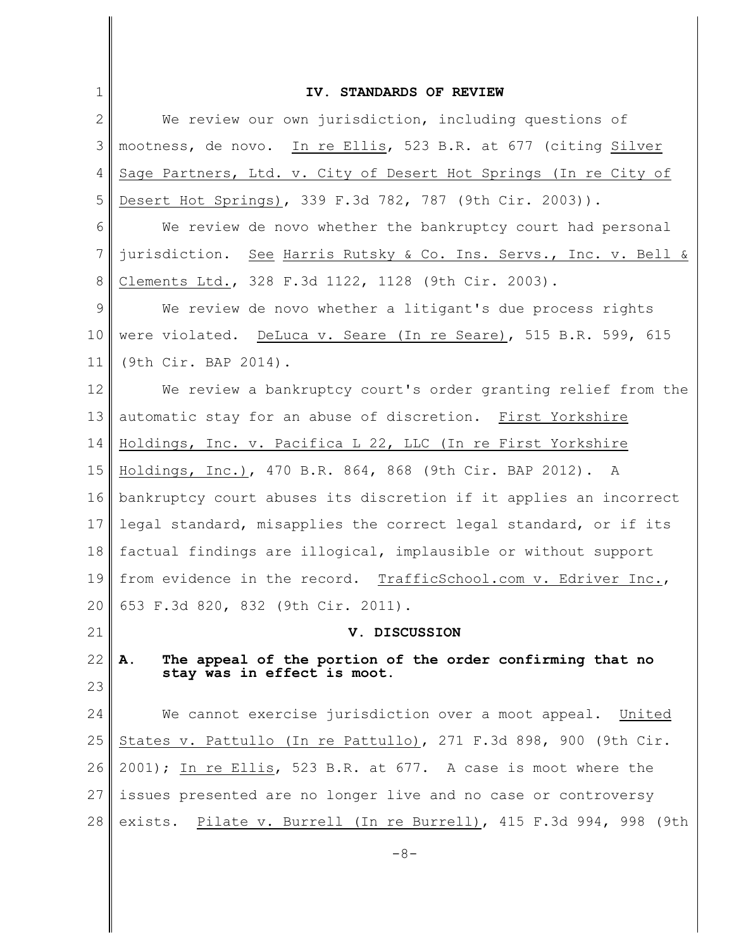| $\mathbf{1}$   | IV. STANDARDS OF REVIEW                                                                        |
|----------------|------------------------------------------------------------------------------------------------|
| $\mathbf{2}$   | We review our own jurisdiction, including questions of                                         |
| 3              | mootness, de novo. In re Ellis, 523 B.R. at 677 (citing Silver                                 |
| 4              | Sage Partners, Ltd. v. City of Desert Hot Springs (In re City of                               |
| 5              | Desert Hot Springs), 339 F.3d 782, 787 (9th Cir. 2003)).                                       |
| 6              | We review de novo whether the bankruptcy court had personal                                    |
| $\overline{7}$ | jurisdiction. See Harris Rutsky & Co. Ins. Servs., Inc. v. Bell &                              |
| 8              | Clements Ltd., 328 F.3d 1122, 1128 (9th Cir. 2003).                                            |
| 9              | We review de novo whether a litigant's due process rights                                      |
| 10             | were violated. DeLuca v. Seare (In re Seare), 515 B.R. 599, 615                                |
| 11             | (9th Cir. BAP 2014).                                                                           |
| 12             | We review a bankruptcy court's order granting relief from the                                  |
| 13             | automatic stay for an abuse of discretion. First Yorkshire                                     |
| 14             | Holdings, Inc. v. Pacifica L 22, LLC (In re First Yorkshire                                    |
| 15             | Holdings, Inc.), 470 B.R. 864, 868 (9th Cir. BAP 2012). A                                      |
| 16             | bankruptcy court abuses its discretion if it applies an incorrect                              |
| 17             | legal standard, misapplies the correct legal standard, or if its                               |
| 18             | factual findings are illogical, implausible or without support                                 |
| 19             | from evidence in the record. TrafficSchool.com v. Edriver Inc.,                                |
| 20             | 653 F.3d 820, 832 (9th Cir. 2011).                                                             |
| 21             | V. DISCUSSION                                                                                  |
| 22             | The appeal of the portion of the order confirming that no<br>А.<br>stay was in effect is moot. |
| 23             |                                                                                                |
| 24             | We cannot exercise jurisdiction over a moot appeal. United                                     |
| 25             | States v. Pattullo (In re Pattullo), 271 F.3d 898, 900 (9th Cir.                               |
| 26             | 2001); In re Ellis, 523 B.R. at 677. A case is moot where the                                  |
| 27             | issues presented are no longer live and no case or controversy                                 |
| 28             | exists. Pilate v. Burrell (In re Burrell), 415 F.3d 994, 998 (9th                              |
|                | $-8-$                                                                                          |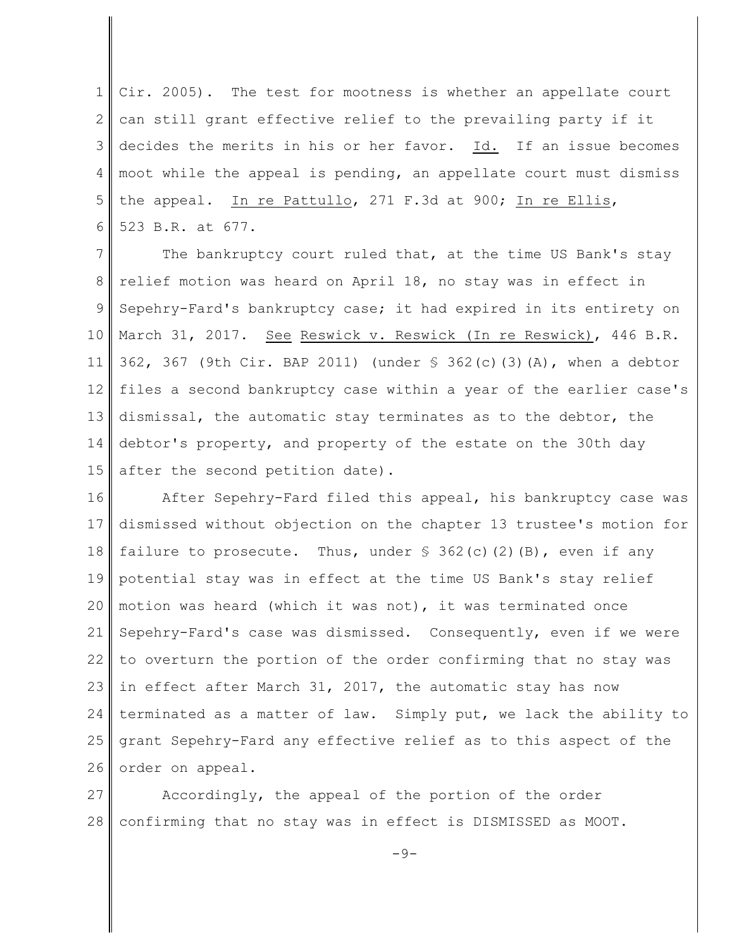1 2 3 4 5 6 Cir. 2005). The test for mootness is whether an appellate court can still grant effective relief to the prevailing party if it decides the merits in his or her favor. Id. If an issue becomes moot while the appeal is pending, an appellate court must dismiss the appeal. In re Pattullo, 271 F.3d at 900; In re Ellis, 523 B.R. at 677.

7 8 9 10 11 12 13 14 15 The bankruptcy court ruled that, at the time US Bank's stay relief motion was heard on April 18, no stay was in effect in Sepehry-Fard's bankruptcy case; it had expired in its entirety on March 31, 2017. See Reswick v. Reswick (In re Reswick), 446 B.R. 362, 367 (9th Cir. BAP 2011) (under § 362(c)(3)(A), when a debtor files a second bankruptcy case within a year of the earlier case's dismissal, the automatic stay terminates as to the debtor, the debtor's property, and property of the estate on the 30th day after the second petition date).

16 17 18 19 20 21 22 23 24 25 26 After Sepehry-Fard filed this appeal, his bankruptcy case was dismissed without objection on the chapter 13 trustee's motion for failure to prosecute. Thus, under  $\frac{1}{2}$  362(c)(2)(B), even if any potential stay was in effect at the time US Bank's stay relief motion was heard (which it was not), it was terminated once Sepehry-Fard's case was dismissed. Consequently, even if we were to overturn the portion of the order confirming that no stay was in effect after March 31, 2017, the automatic stay has now terminated as a matter of law. Simply put, we lack the ability to grant Sepehry-Fard any effective relief as to this aspect of the order on appeal.

27 28 Accordingly, the appeal of the portion of the order confirming that no stay was in effect is DISMISSED as MOOT.

 $-9-$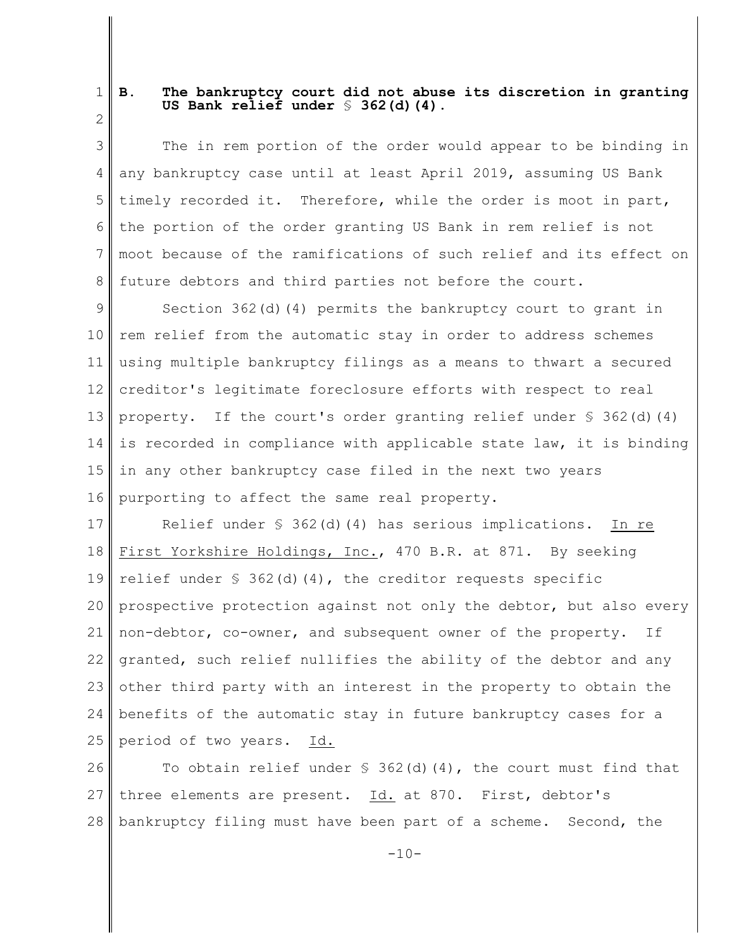1 2

## **B. The bankruptcy court did not abuse its discretion in granting US Bank relief under** § **362(d)(4).**

3 4 5 6 7 8 The in rem portion of the order would appear to be binding in any bankruptcy case until at least April 2019, assuming US Bank timely recorded it. Therefore, while the order is moot in part, the portion of the order granting US Bank in rem relief is not moot because of the ramifications of such relief and its effect on future debtors and third parties not before the court.

9 10 11 12 13 14 15 16 Section 362(d)(4) permits the bankruptcy court to grant in rem relief from the automatic stay in order to address schemes using multiple bankruptcy filings as a means to thwart a secured creditor's legitimate foreclosure efforts with respect to real property. If the court's order granting relief under  $\S$  362(d)(4) is recorded in compliance with applicable state law, it is binding in any other bankruptcy case filed in the next two years purporting to affect the same real property.

17 18 19 20 21 22 23 24 25 Relief under  $\frac{1}{5}$  362(d)(4) has serious implications. In re First Yorkshire Holdings, Inc., 470 B.R. at 871. By seeking relief under  $\S$  362(d)(4), the creditor requests specific prospective protection against not only the debtor, but also every non-debtor, co-owner, and subsequent owner of the property. If granted, such relief nullifies the ability of the debtor and any other third party with an interest in the property to obtain the benefits of the automatic stay in future bankruptcy cases for a period of two years. Id.

26 27 28 To obtain relief under  $\frac{1}{2}$  362(d)(4), the court must find that three elements are present. Id. at 870. First, debtor's bankruptcy filing must have been part of a scheme. Second, the

 $-10-$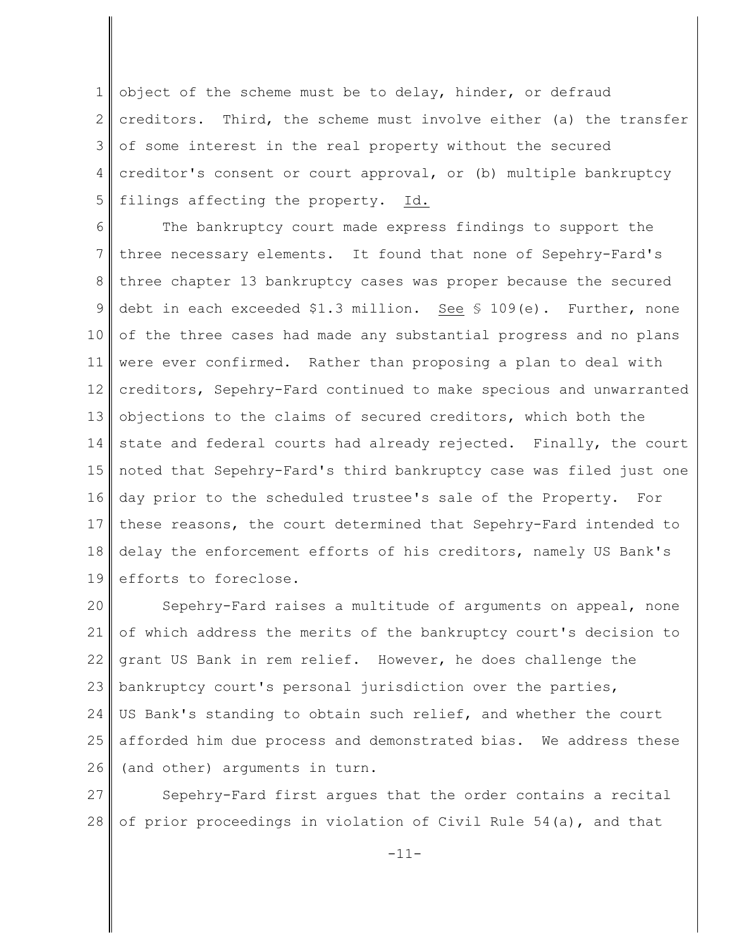1 2 3 4 5 object of the scheme must be to delay, hinder, or defraud creditors. Third, the scheme must involve either (a) the transfer of some interest in the real property without the secured creditor's consent or court approval, or (b) multiple bankruptcy filings affecting the property. Id.

6 7 8 9 10 11 12 13 14 15 16 17 18 19 The bankruptcy court made express findings to support the three necessary elements. It found that none of Sepehry-Fard's three chapter 13 bankruptcy cases was proper because the secured debt in each exceeded \$1.3 million. See § 109(e). Further, none of the three cases had made any substantial progress and no plans were ever confirmed. Rather than proposing a plan to deal with creditors, Sepehry-Fard continued to make specious and unwarranted objections to the claims of secured creditors, which both the state and federal courts had already rejected. Finally, the court noted that Sepehry-Fard's third bankruptcy case was filed just one day prior to the scheduled trustee's sale of the Property. For these reasons, the court determined that Sepehry-Fard intended to delay the enforcement efforts of his creditors, namely US Bank's efforts to foreclose.

20 21 22 23 24 25 26 Sepehry-Fard raises a multitude of arguments on appeal, none of which address the merits of the bankruptcy court's decision to grant US Bank in rem relief. However, he does challenge the bankruptcy court's personal jurisdiction over the parties, US Bank's standing to obtain such relief, and whether the court afforded him due process and demonstrated bias. We address these (and other) arguments in turn.

27 28 Sepehry-Fard first argues that the order contains a recital of prior proceedings in violation of Civil Rule 54(a), and that

-11-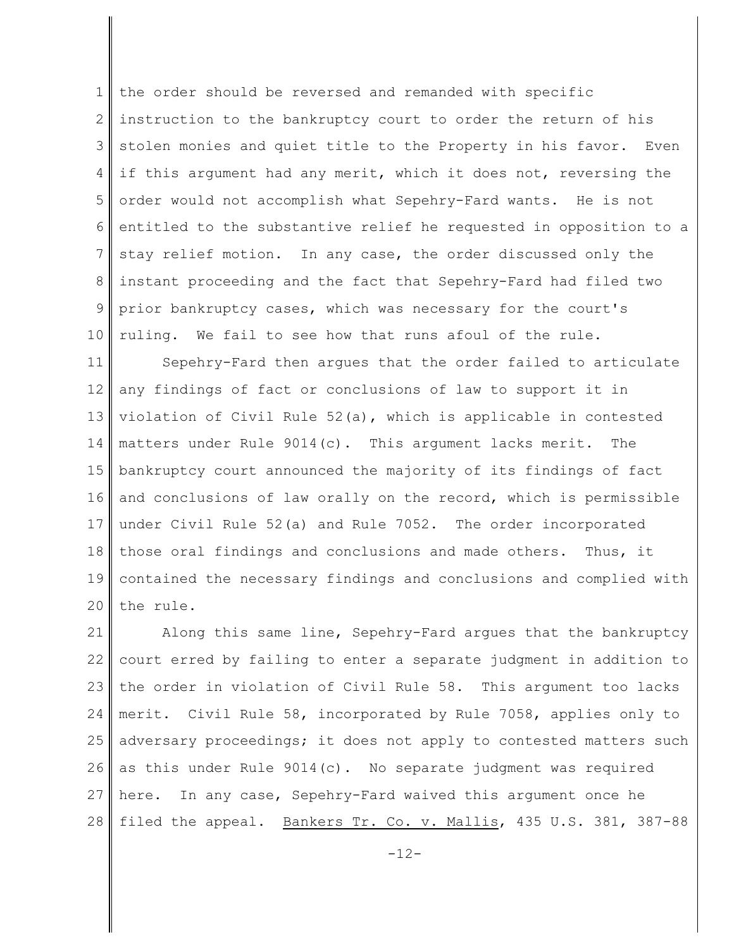1 2 3 4 5 6 7 8 9 10 the order should be reversed and remanded with specific instruction to the bankruptcy court to order the return of his stolen monies and quiet title to the Property in his favor. Even if this argument had any merit, which it does not, reversing the order would not accomplish what Sepehry-Fard wants. He is not entitled to the substantive relief he requested in opposition to a stay relief motion. In any case, the order discussed only the instant proceeding and the fact that Sepehry-Fard had filed two prior bankruptcy cases, which was necessary for the court's ruling. We fail to see how that runs afoul of the rule.

11 12 13 14 15 16 17 18 19 20 Sepehry-Fard then argues that the order failed to articulate any findings of fact or conclusions of law to support it in violation of Civil Rule 52(a), which is applicable in contested matters under Rule 9014(c). This argument lacks merit. The bankruptcy court announced the majority of its findings of fact and conclusions of law orally on the record, which is permissible under Civil Rule 52(a) and Rule 7052. The order incorporated those oral findings and conclusions and made others. Thus, it contained the necessary findings and conclusions and complied with the rule.

21 22 23 24 25 26 27 28 Along this same line, Sepehry-Fard argues that the bankruptcy court erred by failing to enter a separate judgment in addition to the order in violation of Civil Rule 58. This argument too lacks merit. Civil Rule 58, incorporated by Rule 7058, applies only to adversary proceedings; it does not apply to contested matters such as this under Rule  $9014(c)$ . No separate judgment was required here. In any case, Sepehry-Fard waived this argument once he filed the appeal. Bankers Tr. Co. v. Mallis, 435 U.S. 381, 387-88

 $-12-$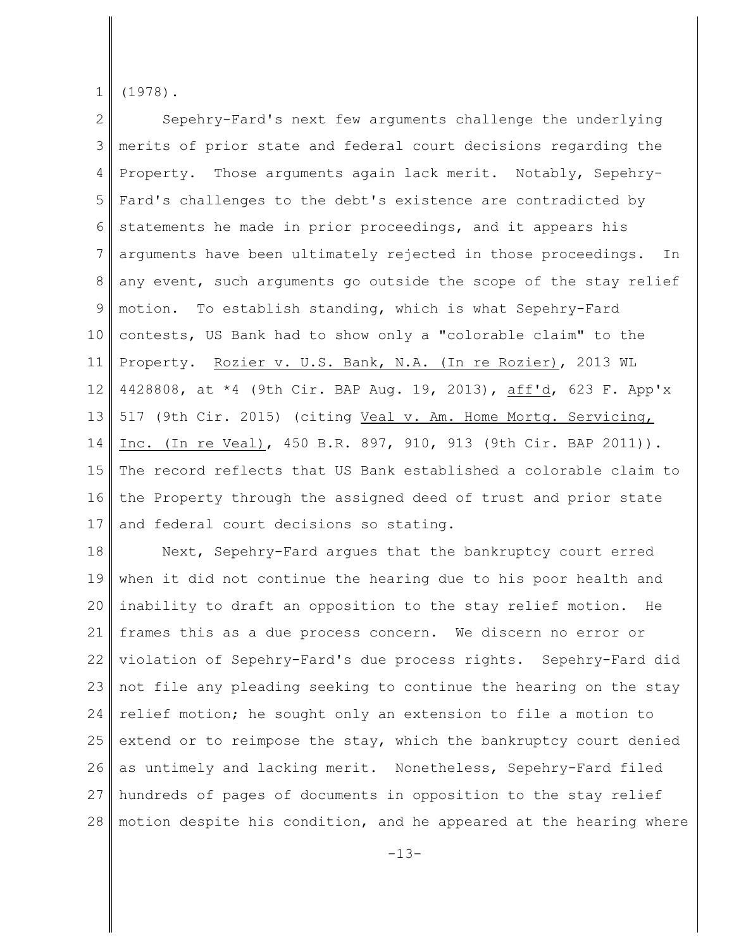1 (1978).

2 3 4 5 6 7 8 9 10 11 12 13 14 15 16 17 Sepehry-Fard's next few arguments challenge the underlying merits of prior state and federal court decisions regarding the Property. Those arguments again lack merit. Notably, Sepehry-Fard's challenges to the debt's existence are contradicted by statements he made in prior proceedings, and it appears his arguments have been ultimately rejected in those proceedings. In any event, such arguments go outside the scope of the stay relief motion. To establish standing, which is what Sepehry-Fard contests, US Bank had to show only a "colorable claim" to the Property. Rozier v. U.S. Bank, N.A. (In re Rozier), 2013 WL 4428808, at \*4 (9th Cir. BAP Aug. 19, 2013), aff'd, 623 F. App'x 517 (9th Cir. 2015) (citing Veal v. Am. Home Mortg. Servicing, Inc. (In re Veal), 450 B.R. 897, 910, 913 (9th Cir. BAP 2011)). The record reflects that US Bank established a colorable claim to the Property through the assigned deed of trust and prior state and federal court decisions so stating.

18 19 20 21 22 23 24 25 26 27 28 Next, Sepehry-Fard argues that the bankruptcy court erred when it did not continue the hearing due to his poor health and inability to draft an opposition to the stay relief motion. He frames this as a due process concern. We discern no error or violation of Sepehry-Fard's due process rights. Sepehry-Fard did not file any pleading seeking to continue the hearing on the stay relief motion; he sought only an extension to file a motion to extend or to reimpose the stay, which the bankruptcy court denied as untimely and lacking merit. Nonetheless, Sepehry-Fard filed hundreds of pages of documents in opposition to the stay relief motion despite his condition, and he appeared at the hearing where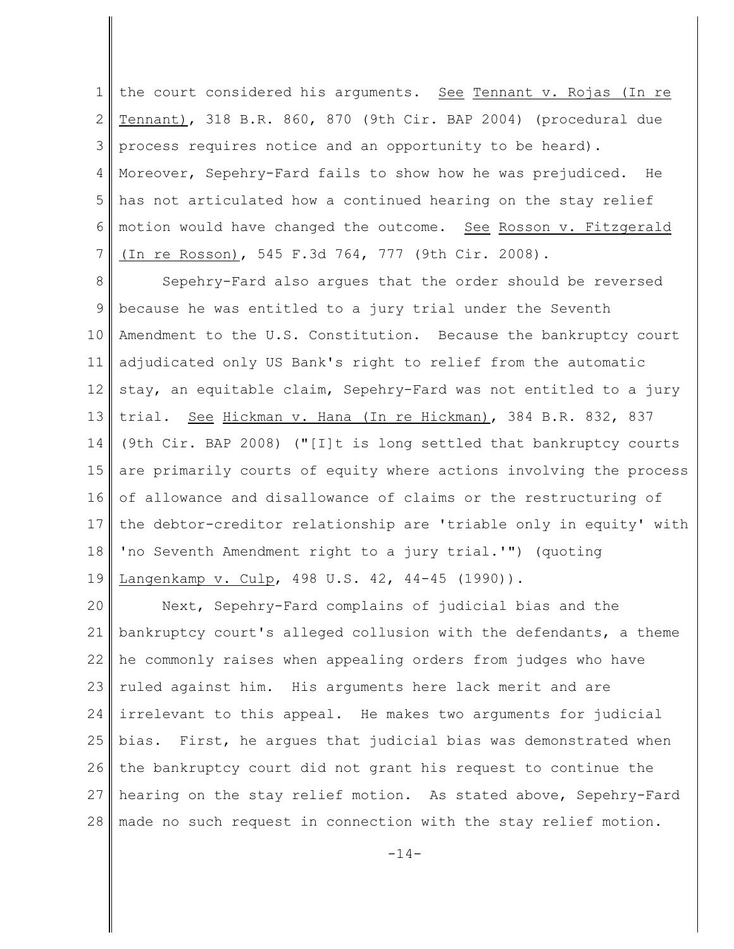1 2 3 4 5 6 7 the court considered his arguments. See Tennant v. Rojas (In re Tennant), 318 B.R. 860, 870 (9th Cir. BAP 2004) (procedural due process requires notice and an opportunity to be heard). Moreover, Sepehry-Fard fails to show how he was prejudiced. He has not articulated how a continued hearing on the stay relief motion would have changed the outcome. See Rosson v. Fitzgerald (In re Rosson), 545 F.3d 764, 777 (9th Cir. 2008).

8 9 10 11 12 13 14 15 16 17 18 19 Sepehry-Fard also argues that the order should be reversed because he was entitled to a jury trial under the Seventh Amendment to the U.S. Constitution. Because the bankruptcy court adjudicated only US Bank's right to relief from the automatic stay, an equitable claim, Sepehry-Fard was not entitled to a jury trial. See Hickman v. Hana (In re Hickman), 384 B.R. 832, 837 (9th Cir. BAP 2008) ("[I]t is long settled that bankruptcy courts are primarily courts of equity where actions involving the process of allowance and disallowance of claims or the restructuring of the debtor-creditor relationship are 'triable only in equity' with 'no Seventh Amendment right to a jury trial.'") (quoting Langenkamp v. Culp, 498 U.S. 42, 44-45 (1990)).

20 21 22 23 24 25 26 27 28 Next, Sepehry-Fard complains of judicial bias and the bankruptcy court's alleged collusion with the defendants, a theme he commonly raises when appealing orders from judges who have ruled against him. His arguments here lack merit and are irrelevant to this appeal. He makes two arguments for judicial bias. First, he argues that judicial bias was demonstrated when the bankruptcy court did not grant his request to continue the hearing on the stay relief motion. As stated above, Sepehry-Fard made no such request in connection with the stay relief motion.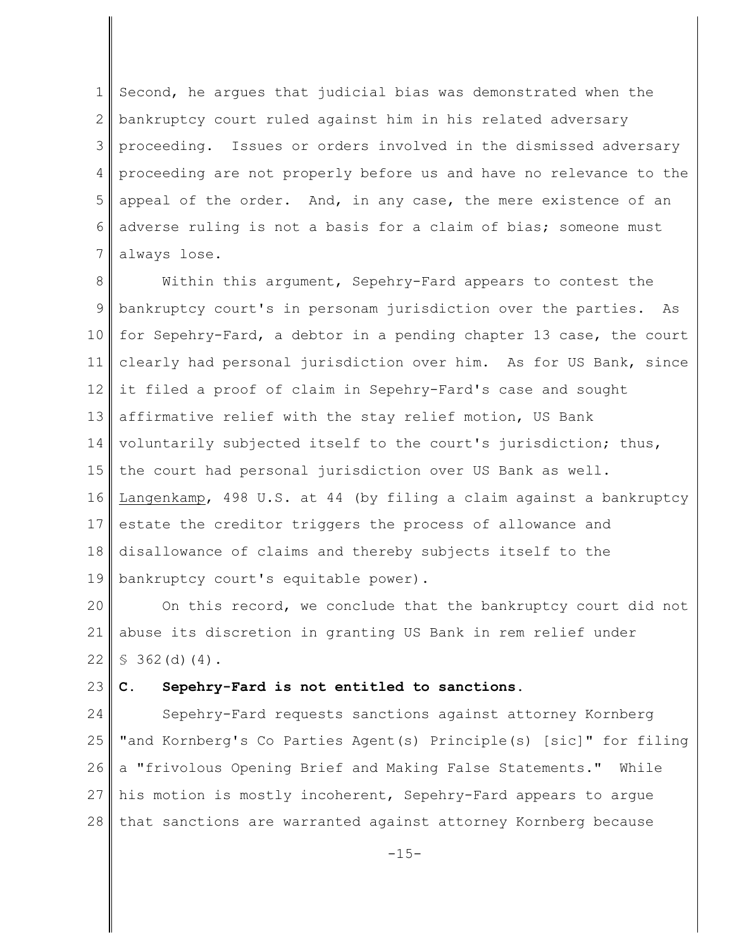1 2 3 4 5 6 7 Second, he argues that judicial bias was demonstrated when the bankruptcy court ruled against him in his related adversary proceeding. Issues or orders involved in the dismissed adversary proceeding are not properly before us and have no relevance to the appeal of the order. And, in any case, the mere existence of an adverse ruling is not a basis for a claim of bias; someone must always lose.

8 9 10 11 12 13 14 15 16 17 18 19 Within this argument, Sepehry-Fard appears to contest the bankruptcy court's in personam jurisdiction over the parties. As for Sepehry-Fard, a debtor in a pending chapter 13 case, the court clearly had personal jurisdiction over him. As for US Bank, since it filed a proof of claim in Sepehry-Fard's case and sought affirmative relief with the stay relief motion, US Bank voluntarily subjected itself to the court's jurisdiction; thus, the court had personal jurisdiction over US Bank as well. Langenkamp, 498 U.S. at 44 (by filing a claim against a bankruptcy estate the creditor triggers the process of allowance and disallowance of claims and thereby subjects itself to the bankruptcy court's equitable power).

20 21 22 On this record, we conclude that the bankruptcy court did not abuse its discretion in granting US Bank in rem relief under  $$362(d)(4).$ 

#### 23 **C. Sepehry-Fard is not entitled to sanctions.**

24 25 26 27 28 Sepehry-Fard requests sanctions against attorney Kornberg "and Kornberg's Co Parties Agent(s) Principle(s) [sic]" for filing a "frivolous Opening Brief and Making False Statements." While his motion is mostly incoherent, Sepehry-Fard appears to argue that sanctions are warranted against attorney Kornberg because

 $-15-$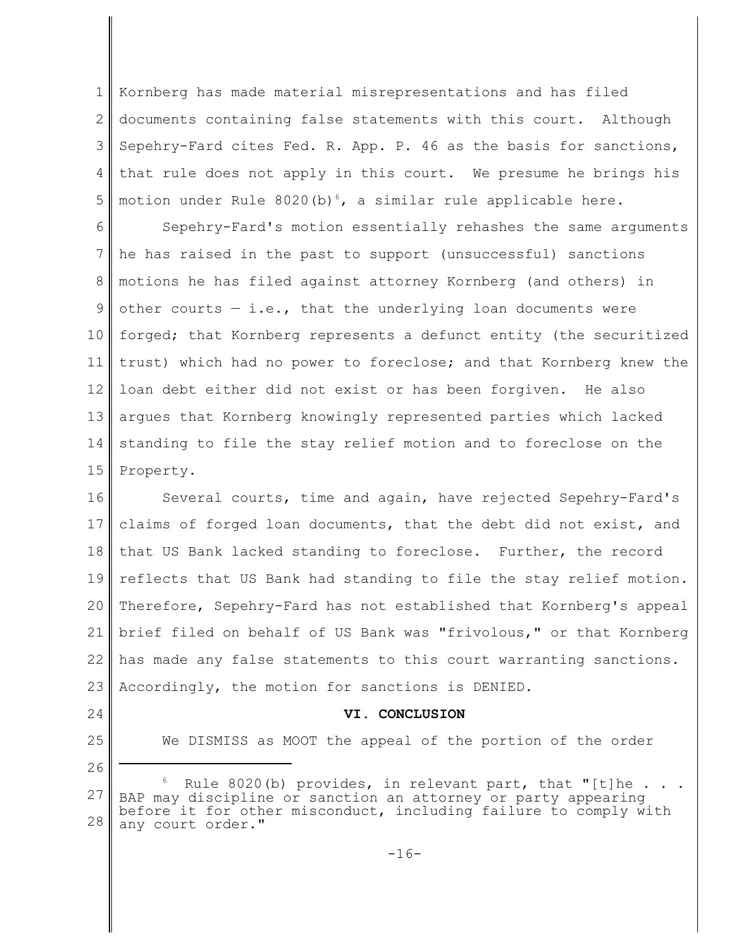1 2 3 4 5 Kornberg has made material misrepresentations and has filed documents containing false statements with this court. Although Sepehry-Fard cites Fed. R. App. P. 46 as the basis for sanctions, that rule does not apply in this court. We presume he brings his motion under Rule 8020(b)<sup>6</sup>, a similar rule applicable here.

6 7 8 9 10 11 12 13 14 15 Sepehry-Fard's motion essentially rehashes the same arguments he has raised in the past to support (unsuccessful) sanctions motions he has filed against attorney Kornberg (and others) in other courts  $-$  i.e., that the underlying loan documents were forged; that Kornberg represents a defunct entity (the securitized trust) which had no power to foreclose; and that Kornberg knew the loan debt either did not exist or has been forgiven. He also argues that Kornberg knowingly represented parties which lacked standing to file the stay relief motion and to foreclose on the Property.

16 17 18 19 20 21 22 23 Several courts, time and again, have rejected Sepehry-Fard's claims of forged loan documents, that the debt did not exist, and that US Bank lacked standing to foreclose. Further, the record reflects that US Bank had standing to file the stay relief motion. Therefore, Sepehry-Fard has not established that Kornberg's appeal brief filed on behalf of US Bank was "frivolous," or that Kornberg has made any false statements to this court warranting sanctions. Accordingly, the motion for sanctions is DENIED.

24 25

26

#### **VI. CONCLUSION**

We DISMISS as MOOT the appeal of the portion of the order

<sup>27</sup> 28 Rule 8020(b) provides, in relevant part, that "[t]he . BAP may discipline or sanction an attorney or party appearing before it for other misconduct, including failure to comply with any court order."